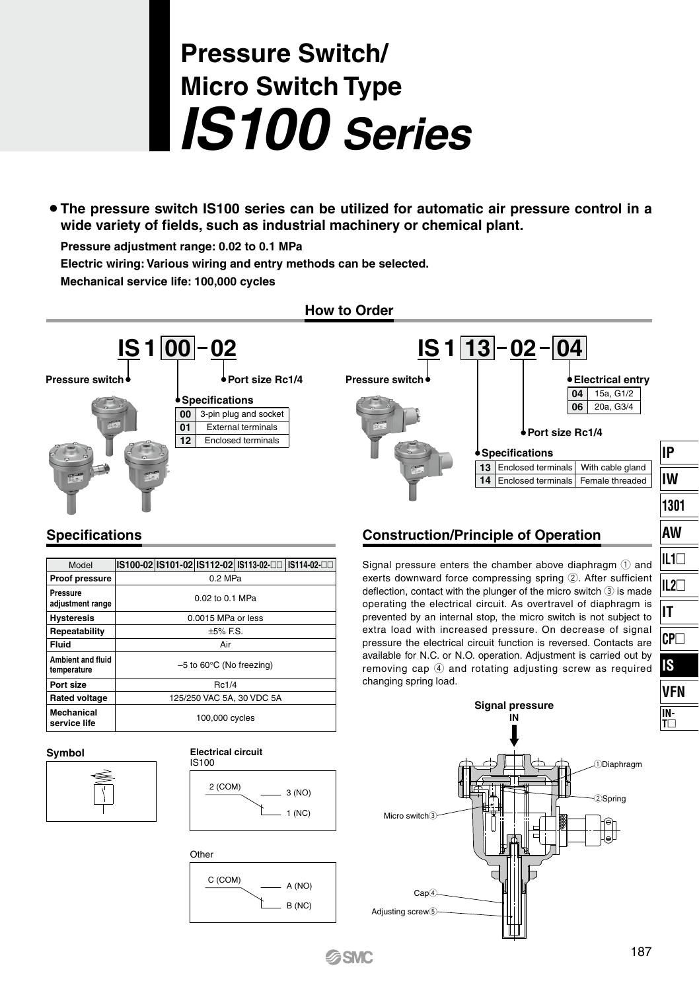# **Pressure Switch/ Micro Switch Type** *IS100 Series*

¡ **The pressure switch IS100 series can be utilized for automatic air pressure control in a wide variety of fields, such as industrial machinery or chemical plant.**

**Pressure adjustment range: 0.02 to 0.1 MPa**

**Electric wiring: Various wiring and entry methods can be selected.**

**Mechanical service life: 100,000 cycles**



## **Specifications**

| Model                                   |                                       |  |  | IS100-02 IS101-02 IS112-02 IS113-02-□□ IS114-02-□□ |  |
|-----------------------------------------|---------------------------------------|--|--|----------------------------------------------------|--|
| <b>Proof pressure</b>                   | $0.2$ MPa                             |  |  |                                                    |  |
| Pressure<br>adjustment range            | 0.02 to 0.1 MPa                       |  |  |                                                    |  |
| <b>Hysteresis</b>                       | 0.0015 MPa or less                    |  |  |                                                    |  |
| Repeatability                           | $+5\%$ F.S.                           |  |  |                                                    |  |
| Fluid                                   | Air                                   |  |  |                                                    |  |
| <b>Ambient and fluid</b><br>temperature | $-5$ to 60 $^{\circ}$ C (No freezing) |  |  |                                                    |  |
| Port size                               | Rc1/4                                 |  |  |                                                    |  |
| <b>Rated voltage</b>                    | 125/250 VAC 5A, 30 VDC 5A             |  |  |                                                    |  |
| Mechanical<br>service life              | 100,000 cycles                        |  |  |                                                    |  |



### **Symbol Electrical circuit** IS100





## **Construction/Principle of Operation**

Signal pressure enters the chamber above diaphragm  $\Omega$  and exerts downward force compressing spring  $(2)$ . After sufficient deflection, contact with the plunger of the micro switch  $(3)$  is made operating the electrical circuit. As overtravel of diaphragm is prevented by an internal stop, the micro switch is not subject to extra load with increased pressure. On decrease of signal pressure the electrical circuit function is reversed. Contacts are available for N.C. or N.O. operation. Adjustment is carried out by removing cap  $\left(\overline{4}\right)$  and rotating adjusting screw as required changing spring load.